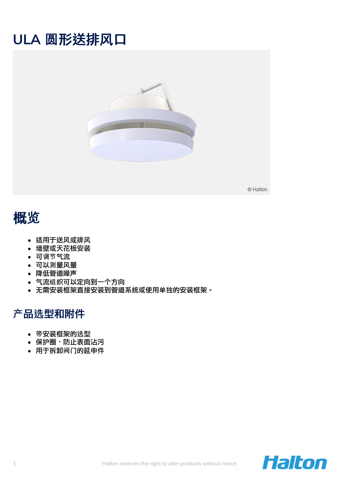# **ULA** 圆形送排风口



© Halton

## 概览

- 适用于送风或排风
- 墙壁或天花板安装
- 可调节气流
- 可以测量风量
- 降低管道噪声
- 气流组织可以定向到一个方向
- 无需安装框架直接安装到管道系统或使用单独的安装框架。

## 产品选型和附件

- 带安装框架的选型
- 保护圈,防止表面沾污
- 用于拆卸阀门的延申件

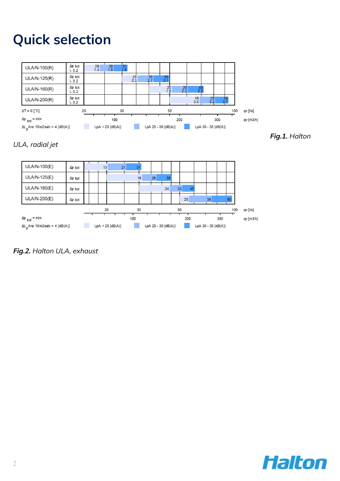# **Quick selection**



### ULA, radial jet



**Fig.2.** Halton ULA, exhaust



**Fig.1.** Halton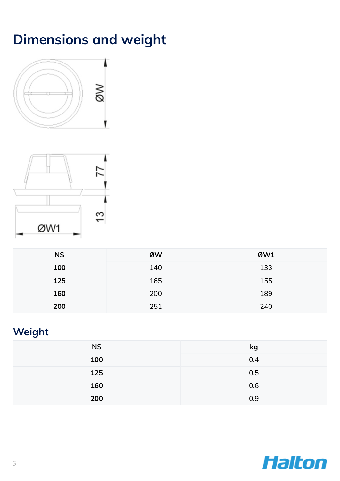# **Dimensions and weight**





| <b>NS</b> | ØW  | ØW1 |
|-----------|-----|-----|
| 100       | 140 | 133 |
| 125       | 165 | 155 |
| 160       | 200 | 189 |
| 200       | 251 | 240 |

## **Weight**

| <b>NS</b> | kg  |
|-----------|-----|
| 100       | 0.4 |
| 125       | 0.5 |
| 160       | 0.6 |
| 200       | 0.9 |

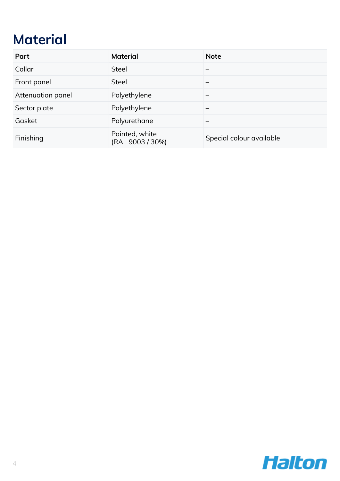# **Material**

| Part              | <b>Material</b>                    | <b>Note</b>              |
|-------------------|------------------------------------|--------------------------|
| Collar            | <b>Steel</b>                       |                          |
| Front panel       | <b>Steel</b>                       |                          |
| Attenuation panel | Polyethylene                       |                          |
| Sector plate      | Polyethylene                       | –                        |
| Gasket            | Polyurethane                       |                          |
| Finishing         | Painted, white<br>(RAL 9003 / 30%) | Special colour available |

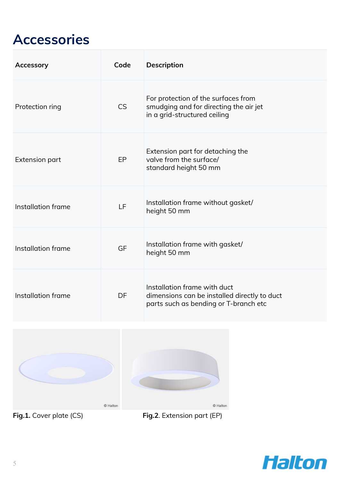# **Accessories**

| <b>Accessory</b>      | Code      | <b>Description</b>                                                                                                    |
|-----------------------|-----------|-----------------------------------------------------------------------------------------------------------------------|
| Protection ring       | <b>CS</b> | For protection of the surfaces from<br>smudging and for directing the air jet<br>in a grid-structured ceiling         |
| <b>Extension part</b> | EP        | Extension part for detaching the<br>valve from the surface/<br>standard height 50 mm                                  |
| Installation frame    | LF        | Installation frame without gasket/<br>height 50 mm                                                                    |
| Installation frame    | GF        | Installation frame with gasket/<br>height 50 mm                                                                       |
| Installation frame    | DF        | Installation frame with duct<br>dimensions can be installed directly to duct<br>parts such as bending or T-branch etc |



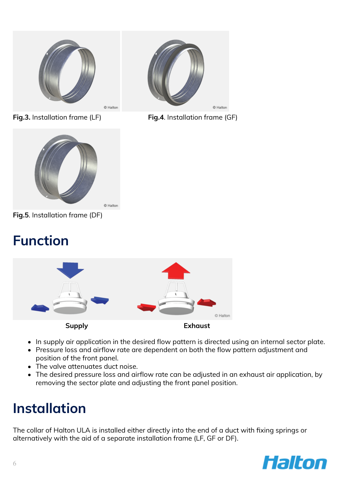







**Fig.5**. Installation frame (DF)

# **Function**



- In supply air application in the desired flow pattern is directed using an internal sector plate.
- Pressure loss and airflow rate are dependent on both the flow pattern adjustment and position of the front panel.
- The valve attenuates duct noise.
- The desired pressure loss and airflow rate can be adjusted in an exhaust air application, by removing the sector plate and adjusting the front panel position.

# **Installation**

The collar of Halton ULA is installed either directly into the end of a duct with fixing springs or alternatively with the aid of a separate installation frame (LF, GF or DF).

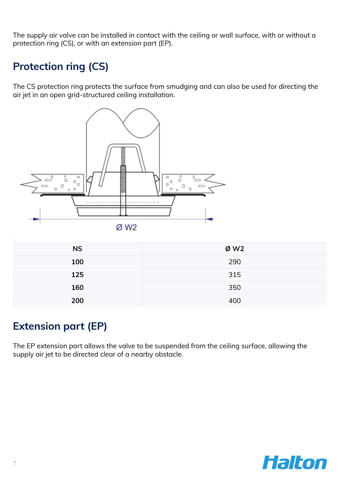The supply air valve can be installed in contact with the ceiling or wall surface, with or without a protection ring (CS), or with an extension part (EP).

## **Protection ring (CS)**

The CS protection ring protects the surface from smudging and can also be used for directing the air jet in an open grid-structured ceiling installation.



ØW<sub>2</sub>

| <b>NS</b> | ØW2 |
|-----------|-----|
| 100       | 290 |
| 125       | 315 |
| 160       | 350 |
| 200       | 400 |

### **Extension part (EP)**

The EP extension part allows the valve to be suspended from the ceiling surface, allowing the supply air jet to be directed clear of a nearby obstacle.

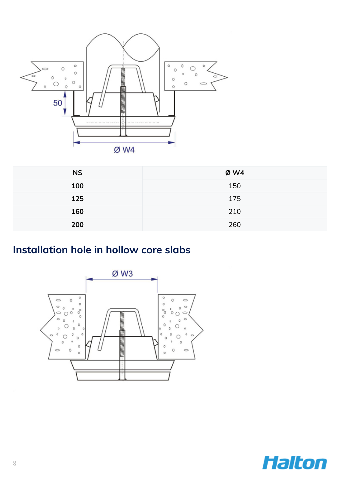

| <b>NS</b> | Ø W4 |
|-----------|------|
| 100       | 150  |
| 125       | 175  |
| 160       | 210  |
| 200       | 260  |

## **Installation hole in hollow core slabs**



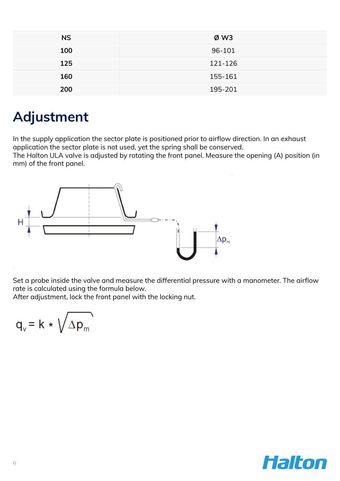| <b>NS</b> | ØW3     |
|-----------|---------|
| 100       | 96-101  |
| 125       | 121-126 |
| 160       | 155-161 |
| 200       | 195-201 |

## **Adjustment**

In the supply application the sector plate is positioned prior to airflow direction. In an exhaust application the sector plate is not used, yet the spring shall be conserved.

The Halton ULA valve is adjusted by rotating the front panel. Measure the opening (A) position (in mm) of the front panel.



Set a probe inside the valve and measure the differential pressure with a manometer. The airflow rate is calculated using the formula below.

After adjustment, lock the front panel with the locking nut.

$$
q_v = k * \sqrt{\Delta p_m}
$$

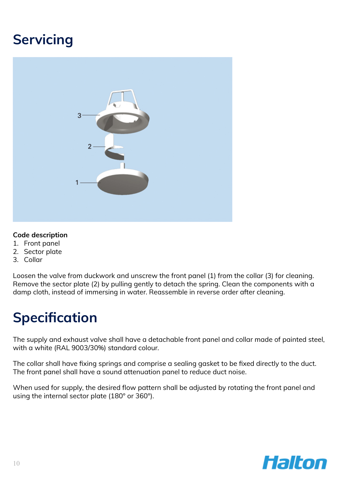# **Servicing**



#### **Code description**

- 1. Front panel
- 2. Sector plate
- 3. Collar

Loosen the valve from duckwork and unscrew the front panel (1) from the collar (3) for cleaning. Remove the sector plate (2) by pulling gently to detach the spring. Clean the components with a damp cloth, instead of immersing in water. Reassemble in reverse order after cleaning.

# **Specification**

The supply and exhaust valve shall have a detachable front panel and collar made of painted steel, with a white (RAL 9003/30%) standard colour.

The collar shall have fixing springs and comprise a sealing gasket to be fixed directly to the duct. The front panel shall have a sound attenuation panel to reduce duct noise.

When used for supply, the desired flow pattern shall be adjusted by rotating the front panel and using the internal sector plate (180° or 360°).